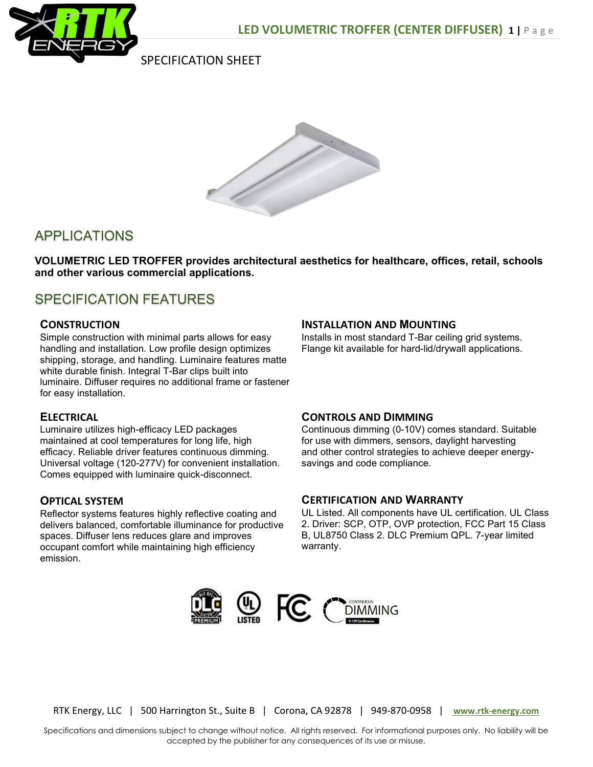

SPECIFICATION SHEET



# APPLICATIONS

VOLUMETRIC LED TROFFER provides architectural aesthetics for healthcare, offices, retail, schools and other various commercial applications.

# SPECIFICATION FEATURES

# **CONSTRUCTION**

Simple construction with minimal parts allows for easy handling and installation. Low profile design optimizes shipping, storage, and handling. Luminaire features matte white durable finish. Integral T-Bar clips built into luminaire. Diffuser requires no additional frame or fastener for easy installation.

# **ELECTRICAL**

Luminaire utilizes high-efficacy LED packages maintained at cool temperatures for long life, high efficacy. Reliable driver features continuous dimming. Universal voltage (120-277V) for convenient installation. Comes equipped with luminaire quick-disconnect.

# OPTICAL SYSTEM

Reflector systems features highly reflective coating and delivers balanced, comfortable illuminance for productive spaces. Diffuser lens reduces glare and improves occupant comfort while maintaining high efficiency emission.

### INSTALLATION AND MOUNTING

Installs in most standard T-Bar ceiling grid systems. Flange kit available for hard-lid/drywall applications.

# CONTROLS AND DIMMING

Continuous dimming (0-10V) comes standard. Suitable for use with dimmers, sensors, daylight harvesting and other control strategies to achieve deeper energysavings and code compliance.

# CERTIFICATION AND WARRANTY

UL Listed. All components have UL certification. UL Class 2. Driver: SCP, OTP, OVP protection, FCC Part 15 Class B, UL8750 Class 2. DLC Premium QPL. 7-year limited warranty.



RTK Energy, LLC | 500 Harrington St., Suite B | Corona, CA 92878 | 949-870-0958 | www.rtk-energy.com

Specifications and dimensions subject to change without notice. All rights reserved. For informational purposes only. No liability will be accepted by the publisher for any consequences of its use or misuse.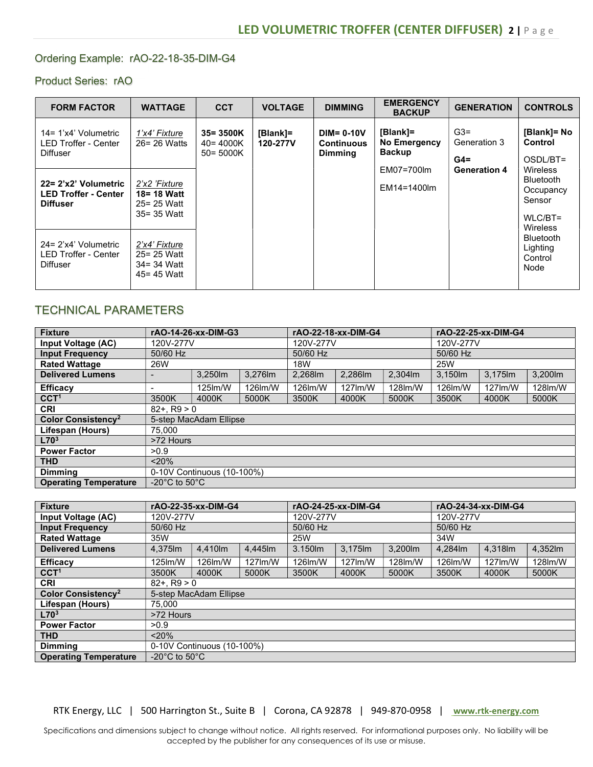#### Ordering Example: rAO-22-18-35-DIM-G4

# Product Series: rAO

| <b>FORM FACTOR</b>                                                     | <b>WATTAGE</b>                                             | <b>CCT</b>                                   | <b>VOLTAGE</b>       | <b>DIMMING</b>                                       | <b>EMERGENCY</b><br><b>BACKUP</b>         | <b>GENERATION</b>              | <b>CONTROLS</b>                                                                             |
|------------------------------------------------------------------------|------------------------------------------------------------|----------------------------------------------|----------------------|------------------------------------------------------|-------------------------------------------|--------------------------------|---------------------------------------------------------------------------------------------|
| 14= 1'x4' Volumetric<br><b>LED Troffer - Center</b><br><b>Diffuser</b> | 1'x4' Fixture<br>26= 26 Watts                              | $35 = 3500K$<br>$40 = 4000K$<br>$50 = 5000K$ | [Blank]=<br>120-277V | $DIM = 0-10V$<br><b>Continuous</b><br><b>Dimming</b> | [Blank]=<br>No Emergency<br><b>Backup</b> | $G3=$<br>Generation 3<br>$G4=$ | [Blank]= No<br>Control<br>OSDL/BT=                                                          |
| 22= 2'x2' Volumetric<br><b>LED Troffer - Center</b><br><b>Diffuser</b> | 2'x2 'Fixture<br>18= 18 Watt<br>25= 25 Watt<br>35= 35 Watt |                                              |                      |                                                      | EM07=700lm<br>EM14=1400lm                 | <b>Generation 4</b>            | <b>Wireless</b><br><b>Bluetooth</b><br>Occupancy<br>Sensor<br>$WLC/BT =$<br><b>Wireless</b> |
| 24= 2'x4' Volumetric<br>LED Troffer - Center<br><b>Diffuser</b>        | 2'x4' Fixture<br>25= 25 Watt<br>34= 34 Watt<br>45= 45 Watt |                                              |                      |                                                      |                                           |                                | <b>Bluetooth</b><br>Lighting<br>Control<br>Node                                             |

# TECHNICAL PARAMETERS

| <b>Fixture</b>                 | rAO-14-26-xx-DIM-G3                 |         | rAO-22-18-xx-DIM-G4 |           |            | rAO-22-25-xx-DIM-G4 |           |         |         |
|--------------------------------|-------------------------------------|---------|---------------------|-----------|------------|---------------------|-----------|---------|---------|
| Input Voltage (AC)             | 120V-277V                           |         |                     | 120V-277V |            |                     | 120V-277V |         |         |
| <b>Input Frequency</b>         | 50/60 Hz                            |         |                     | 50/60 Hz  |            |                     | 50/60 Hz  |         |         |
| <b>Rated Wattage</b>           | <b>26W</b>                          |         |                     | 18W       |            |                     | 25W       |         |         |
| <b>Delivered Lumens</b>        | -                                   | 3,250lm | 3,276lm             | 2,268m    | 2,286lm    | 2,304lm             | 3,150m    | 3,175lm | 3,200lm |
| <b>Efficacy</b>                | -                                   | 125lm/W | 126lm/W             | 126lm/W   | $127$ lm/W | 128lm/W             | 126lm/W   | 127lm/W | 128lm/W |
| CCT <sup>1</sup>               | 3500K                               | 4000K   | 5000K               | 3500K     | 4000K      | 5000K               | 3500K     | 4000K   | 5000K   |
| <b>CRI</b>                     | $82 + . R9 > 0$                     |         |                     |           |            |                     |           |         |         |
| Color Consistency <sup>2</sup> | 5-step MacAdam Ellipse              |         |                     |           |            |                     |           |         |         |
| Lifespan (Hours)               | 75.000                              |         |                     |           |            |                     |           |         |         |
| L70 <sup>3</sup>               | >72 Hours                           |         |                     |           |            |                     |           |         |         |
| <b>Power Factor</b>            | >0.9                                |         |                     |           |            |                     |           |         |         |
| <b>THD</b>                     | $< 20\%$                            |         |                     |           |            |                     |           |         |         |
| <b>Dimmina</b>                 | 0-10V Continuous (10-100%)          |         |                     |           |            |                     |           |         |         |
| <b>Operating Temperature</b>   | -20 $^{\circ}$ C to 50 $^{\circ}$ C |         |                     |           |            |                     |           |         |         |

| <b>Fixture</b>                 | rAO-22-35-xx-DIM-G4                 |         |         | rAO-24-25-xx-DIM-G4 |         |          | rAO-24-34-xx-DIM-G4 |            |         |
|--------------------------------|-------------------------------------|---------|---------|---------------------|---------|----------|---------------------|------------|---------|
| Input Voltage (AC)             | 120V-277V                           |         |         | 120V-277V           |         |          | 120V-277V           |            |         |
| <b>Input Frequency</b>         | 50/60 Hz                            |         |         | 50/60 Hz            |         |          | 50/60 Hz            |            |         |
| <b>Rated Wattage</b>           | 35W                                 |         |         | 25W                 |         |          | 34W                 |            |         |
| <b>Delivered Lumens</b>        | 4,375lm                             | 4.410lm | 4,445lm | 3.150m              | 3,175lm | 3,200 lm | 4,284lm             | 4,318m     | 4,352lm |
| <b>Efficacy</b>                | 125lm/W                             | 126lm/W | 127lm/W | 126lm/W             | 127lm/W | 128lm/W  | 126lm/W             | $127$ lm/W | 128lm/W |
| CCT <sup>1</sup>               | 3500K                               | 4000K   | 5000K   | 3500K               | 4000K   | 5000K    | 3500K               | 4000K      | 5000K   |
| <b>CRI</b>                     | $82 + . R9 > 0$                     |         |         |                     |         |          |                     |            |         |
| Color Consistency <sup>2</sup> | 5-step MacAdam Ellipse              |         |         |                     |         |          |                     |            |         |
| Lifespan (Hours)               | 75.000                              |         |         |                     |         |          |                     |            |         |
| L70 <sup>3</sup>               | >72 Hours                           |         |         |                     |         |          |                     |            |         |
| <b>Power Factor</b>            | >0.9                                |         |         |                     |         |          |                     |            |         |
| <b>THD</b>                     | < 20%                               |         |         |                     |         |          |                     |            |         |
| <b>Dimmina</b>                 | 0-10V Continuous (10-100%)          |         |         |                     |         |          |                     |            |         |
| <b>Operating Temperature</b>   | -20 $^{\circ}$ C to 50 $^{\circ}$ C |         |         |                     |         |          |                     |            |         |

RTK Energy, LLC | 500 Harrington St., Suite B | Corona, CA 92878 | 949-870-0958 | www.rtk-energy.com

Specifications and dimensions subject to change without notice. All rights reserved. For informational purposes only. No liability will be accepted by the publisher for any consequences of its use or misuse.